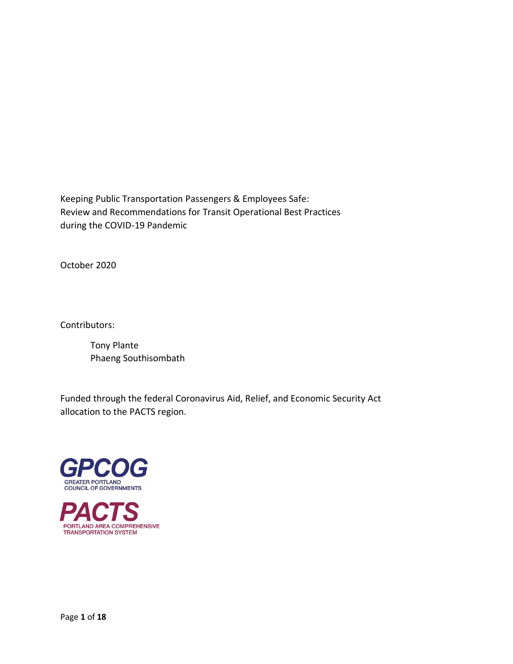Keeping Public Transportation Passengers & Employees Safe: Review and Recommendations for Transit Operational Best Practices during the COVID-19 Pandemic

October 2020

Contributors:

Tony Plante Phaeng Southisombath

Funded through the federal Coronavirus Aid, Relief, and Economic Security Act allocation to the PACTS region.



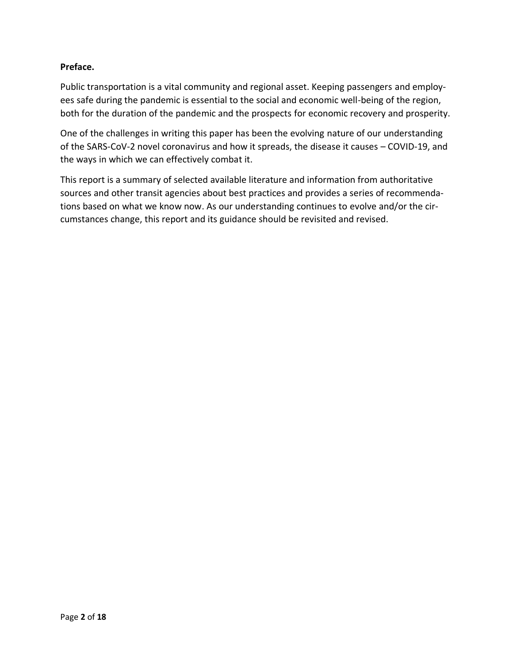### **Preface.**

Public transportation is a vital community and regional asset. Keeping passengers and employees safe during the pandemic is essential to the social and economic well-being of the region, both for the duration of the pandemic and the prospects for economic recovery and prosperity.

One of the challenges in writing this paper has been the evolving nature of our understanding of the SARS-CoV-2 novel coronavirus and how it spreads, the disease it causes – COVID-19, and the ways in which we can effectively combat it.

This report is a summary of selected available literature and information from authoritative sources and other transit agencies about best practices and provides a series of recommendations based on what we know now. As our understanding continues to evolve and/or the circumstances change, this report and its guidance should be revisited and revised.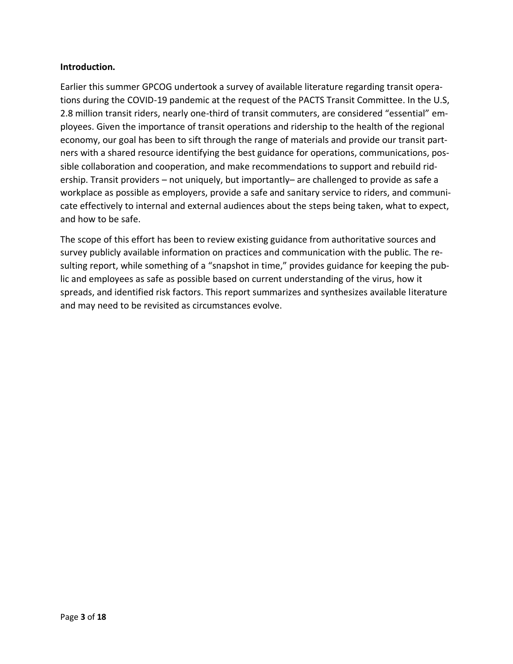### **Introduction.**

Earlier this summer GPCOG undertook a survey of available literature regarding transit operations during the COVID-19 pandemic at the request of the PACTS Transit Committee. In the U.S, 2.8 million transit riders, nearly one-third of transit commuters, are considered "essential" employees. Given the importance of transit operations and ridership to the health of the regional economy, our goal has been to sift through the range of materials and provide our transit partners with a shared resource identifying the best guidance for operations, communications, possible collaboration and cooperation, and make recommendations to support and rebuild ridership. Transit providers – not uniquely, but importantly– are challenged to provide as safe a workplace as possible as employers, provide a safe and sanitary service to riders, and communicate effectively to internal and external audiences about the steps being taken, what to expect, and how to be safe.

The scope of this effort has been to review existing guidance from authoritative sources and survey publicly available information on practices and communication with the public. The resulting report, while something of a "snapshot in time," provides guidance for keeping the public and employees as safe as possible based on current understanding of the virus, how it spreads, and identified risk factors. This report summarizes and synthesizes available literature and may need to be revisited as circumstances evolve.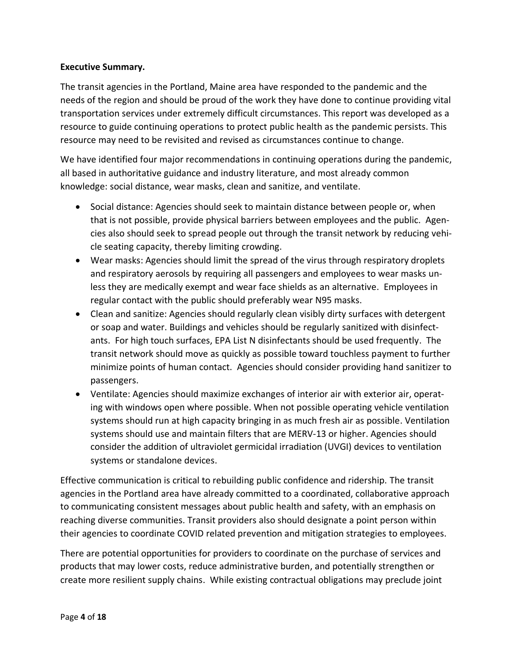### **Executive Summary.**

The transit agencies in the Portland, Maine area have responded to the pandemic and the needs of the region and should be proud of the work they have done to continue providing vital transportation services under extremely difficult circumstances. This report was developed as a resource to guide continuing operations to protect public health as the pandemic persists. This resource may need to be revisited and revised as circumstances continue to change.

We have identified four major recommendations in continuing operations during the pandemic, all based in authoritative guidance and industry literature, and most already common knowledge: social distance, wear masks, clean and sanitize, and ventilate.

- Social distance: Agencies should seek to maintain distance between people or, when that is not possible, provide physical barriers between employees and the public. Agencies also should seek to spread people out through the transit network by reducing vehicle seating capacity, thereby limiting crowding.
- Wear masks: Agencies should limit the spread of the virus through respiratory droplets and respiratory aerosols by requiring all passengers and employees to wear masks unless they are medically exempt and wear face shields as an alternative. Employees in regular contact with the public should preferably wear N95 masks.
- Clean and sanitize: Agencies should regularly clean visibly dirty surfaces with detergent or soap and water. Buildings and vehicles should be regularly sanitized with disinfectants. For high touch surfaces, EPA List N disinfectants should be used frequently. The transit network should move as quickly as possible toward touchless payment to further minimize points of human contact. Agencies should consider providing hand sanitizer to passengers.
- Ventilate: Agencies should maximize exchanges of interior air with exterior air, operating with windows open where possible. When not possible operating vehicle ventilation systems should run at high capacity bringing in as much fresh air as possible. Ventilation systems should use and maintain filters that are MERV-13 or higher. Agencies should consider the addition of ultraviolet germicidal irradiation (UVGI) devices to ventilation systems or standalone devices.

Effective communication is critical to rebuilding public confidence and ridership. The transit agencies in the Portland area have already committed to a coordinated, collaborative approach to communicating consistent messages about public health and safety, with an emphasis on reaching diverse communities. Transit providers also should designate a point person within their agencies to coordinate COVID related prevention and mitigation strategies to employees.

There are potential opportunities for providers to coordinate on the purchase of services and products that may lower costs, reduce administrative burden, and potentially strengthen or create more resilient supply chains. While existing contractual obligations may preclude joint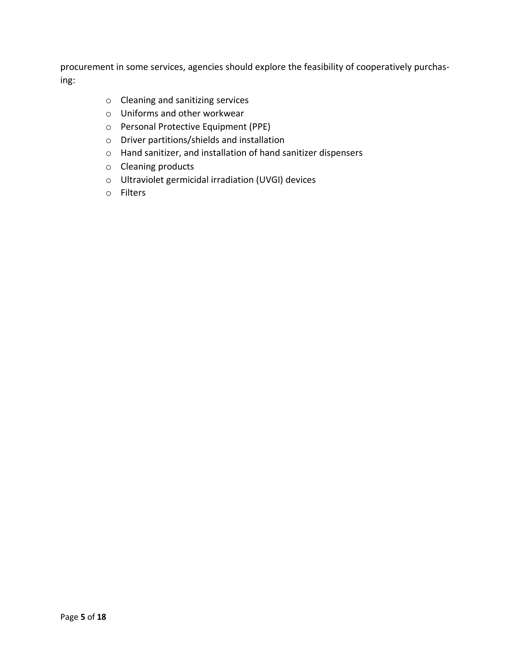procurement in some services, agencies should explore the feasibility of cooperatively purchasing:

- o Cleaning and sanitizing services
- o Uniforms and other workwear
- o Personal Protective Equipment (PPE)
- o Driver partitions/shields and installation
- o Hand sanitizer, and installation of hand sanitizer dispensers
- o Cleaning products
- o Ultraviolet germicidal irradiation (UVGI) devices
- o Filters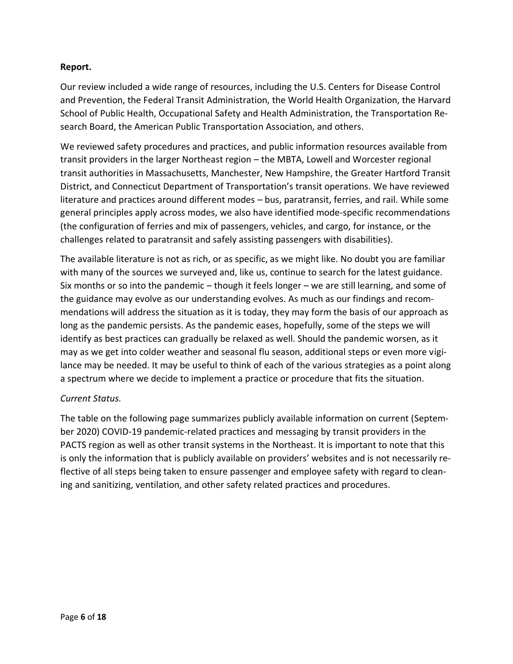### **Report.**

Our review included a wide range of resources, including the U.S. Centers for Disease Control and Prevention, the Federal Transit Administration, the World Health Organization, the Harvard School of Public Health, Occupational Safety and Health Administration, the Transportation Research Board, the American Public Transportation Association, and others.

We reviewed safety procedures and practices, and public information resources available from transit providers in the larger Northeast region – the MBTA, Lowell and Worcester regional transit authorities in Massachusetts, Manchester, New Hampshire, the Greater Hartford Transit District, and Connecticut Department of Transportation's transit operations. We have reviewed literature and practices around different modes – bus, paratransit, ferries, and rail. While some general principles apply across modes, we also have identified mode-specific recommendations (the configuration of ferries and mix of passengers, vehicles, and cargo, for instance, or the challenges related to paratransit and safely assisting passengers with disabilities).

The available literature is not as rich, or as specific, as we might like. No doubt you are familiar with many of the sources we surveyed and, like us, continue to search for the latest guidance. Six months or so into the pandemic – though it feels longer – we are still learning, and some of the guidance may evolve as our understanding evolves. As much as our findings and recommendations will address the situation as it is today, they may form the basis of our approach as long as the pandemic persists. As the pandemic eases, hopefully, some of the steps we will identify as best practices can gradually be relaxed as well. Should the pandemic worsen, as it may as we get into colder weather and seasonal flu season, additional steps or even more vigilance may be needed. It may be useful to think of each of the various strategies as a point along a spectrum where we decide to implement a practice or procedure that fits the situation.

# *Current Status.*

The table on the following page summarizes publicly available information on current (September 2020) COVID-19 pandemic-related practices and messaging by transit providers in the PACTS region as well as other transit systems in the Northeast. It is important to note that this is only the information that is publicly available on providers' websites and is not necessarily reflective of all steps being taken to ensure passenger and employee safety with regard to cleaning and sanitizing, ventilation, and other safety related practices and procedures.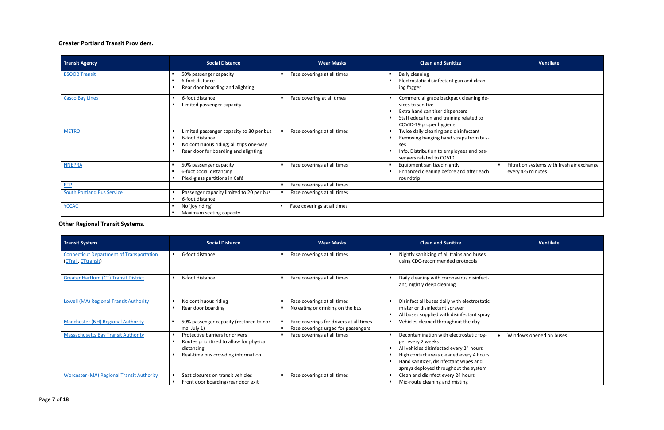# **Greater Portland Transit Providers.**

**Other Regional Transit Systems.**

| <b>Transit Agency</b>             | <b>Social Distance</b>                                                                                                                                                | <b>Wear Masks</b>                             | <b>Clean and Sanitize</b>                                                                                                                                            | Ventilate                                                       |
|-----------------------------------|-----------------------------------------------------------------------------------------------------------------------------------------------------------------------|-----------------------------------------------|----------------------------------------------------------------------------------------------------------------------------------------------------------------------|-----------------------------------------------------------------|
| <b>BSOOB Transit</b>              | 50% passenger capacity<br>6-foot distance<br>Rear door boarding and alighting                                                                                         | Face coverings at all times                   | Daily cleaning<br>Electrostatic disinfectant gun and clean-<br>ing fogger                                                                                            |                                                                 |
| <b>Casco Bay Lines</b>            | 6-foot distance<br>Limited passenger capacity                                                                                                                         | Face covering at all times                    | Commercial grade backpack cleaning de-<br>vices to sanitize<br>Extra hand sanitizer dispensers<br>Staff education and training related to<br>COVID-19 proper hygiene |                                                                 |
| <b>METRO</b>                      | Limited passenger capacity to 30 per bus<br>6-foot distance<br>$\blacksquare$<br>No continuous riding; all trips one-way<br>Rear door for boarding and alighting<br>٠ | Face coverings at all times                   | Twice daily cleaning and disinfectant<br>Removing hanging hand straps from bus-<br>ses<br>Info. Distribution to employees and pas-<br>sengers related to COVID       |                                                                 |
| <b>NNEPRA</b>                     | 50% passenger capacity<br>6-foot social distancing<br>Plexi-glass partitions in Café                                                                                  | Face coverings at all times                   | Equipment sanitized nightly<br>Enhanced cleaning before and after each<br>roundtrip                                                                                  | Filtration systems with fresh air exchange<br>every 4-5 minutes |
| RTP                               |                                                                                                                                                                       | Face coverings at all times<br>$\blacksquare$ |                                                                                                                                                                      |                                                                 |
| <b>South Portland Bus Service</b> | Passenger capacity limited to 20 per bus<br>6-foot distance                                                                                                           | Face coverings at all times                   |                                                                                                                                                                      |                                                                 |
| <b>YCCAC</b>                      | No 'joy riding'<br>Maximum seating capacity                                                                                                                           | Face coverings at all times                   |                                                                                                                                                                      |                                                                 |

| <b>Transit System</b>                                                  | <b>Social Distance</b>                                                                                                          | <b>Wear Masks</b>                                                                                | <b>Clean and Sanitize</b>                                                                                                                                                                                                              | Ventilate               |
|------------------------------------------------------------------------|---------------------------------------------------------------------------------------------------------------------------------|--------------------------------------------------------------------------------------------------|----------------------------------------------------------------------------------------------------------------------------------------------------------------------------------------------------------------------------------------|-------------------------|
| <b>Connecticut Department of Transportation</b><br>(CTrail, CTtransit) | 6-foot distance                                                                                                                 | Face coverings at all times                                                                      | Nightly sanitizing of all trains and buses<br>using CDC-recommended protocols                                                                                                                                                          |                         |
| <b>Greater Hartford (CT) Transit District</b>                          | 6-foot distance                                                                                                                 | Face coverings at all times<br>$\blacksquare$                                                    | Daily cleaning with coronavirus disinfect-<br>ant; nightly deep cleaning                                                                                                                                                               |                         |
| <b>Lowell (MA) Regional Transit Authority</b>                          | No continuous riding<br>Rear door boarding                                                                                      | Face coverings at all times<br>No eating or drinking on the bus                                  | Disinfect all buses daily with electrostatic<br>mister or disinfectant sprayer<br>All buses supplied with disinfectant spray                                                                                                           |                         |
| <b>Manchester (NH) Regional Authority</b>                              | 50% passenger capacity (restored to nor-<br>mal July 1)                                                                         | Face coverings for drivers at all times<br>Face coverings urged for passengers<br>$\blacksquare$ | Vehicles cleaned throughout the day                                                                                                                                                                                                    |                         |
| <b>Massachusetts Bay Transit Authority</b>                             | Protective barriers for drivers<br>Routes prioritized to allow for physical<br>distancing<br>Real-time bus crowding information | Face coverings at all times                                                                      | Decontamination with electrostatic fog-<br>ger every 2 weeks<br>All vehicles disinfected every 24 hours<br>High contact areas cleaned every 4 hours<br>Hand sanitizer, disinfectant wipes and<br>sprays deployed throughout the system | Windows opened on buses |
| <b>Worcester (MA) Regional Transit Authority</b>                       | Seat closures on transit vehicles<br>Front door boarding/rear door exit                                                         | Face coverings at all times                                                                      | Clean and disinfect every 24 hours<br>Mid-route cleaning and misting                                                                                                                                                                   |                         |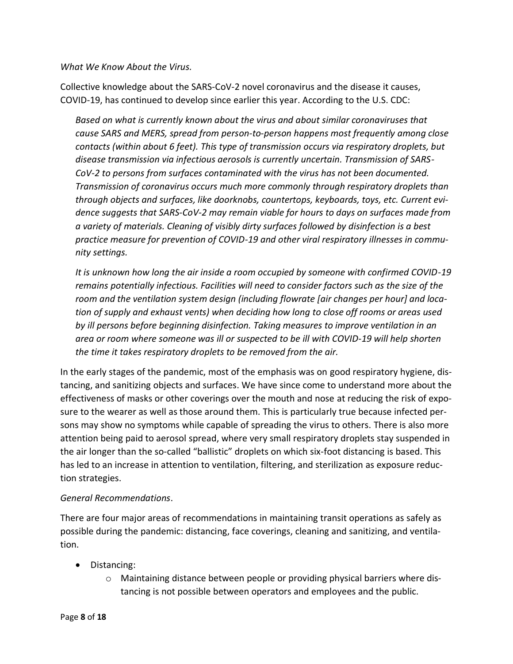*What We Know About the Virus.*

Collective knowledge about the SARS-CoV-2 novel coronavirus and the disease it causes, COVID-19, has continued to develop since earlier this year. According to the U.S. CDC:

*Based on what is currently known about the virus and about similar coronaviruses that cause SARS and MERS, spread from person-to-person happens most frequently among close contacts (within about 6 feet). This type of transmission occurs via respiratory droplets, but disease transmission via infectious aerosols is currently uncertain. Transmission of SARS-CoV-2 to persons from surfaces contaminated with the virus has not been documented. Transmission of coronavirus occurs much more commonly through respiratory droplets than through objects and surfaces, like doorknobs, countertops, keyboards, toys, etc. Current evidence suggests that SARS-CoV-2 may remain viable for hours to days on surfaces made from a variety of materials. Cleaning of visibly dirty surfaces followed by disinfection is a best practice measure for prevention of COVID-19 and other viral respiratory illnesses in community settings.*

*It is unknown how long the air inside a room occupied by someone with confirmed COVID-19 remains potentially infectious. Facilities will need to consider factors such as the size of the room and the ventilation system design (including flowrate [air changes per hour] and location of supply and exhaust vents) when deciding how long to close off rooms or areas used by ill persons before beginning disinfection. Taking measures to improve ventilation in an area or room where someone was ill or suspected to be ill with COVID-19 will help shorten the time it takes respiratory droplets to be removed from the air.*

In the early stages of the pandemic, most of the emphasis was on good respiratory hygiene, distancing, and sanitizing objects and surfaces. We have since come to understand more about the effectiveness of masks or other coverings over the mouth and nose at reducing the risk of exposure to the wearer as well as those around them. This is particularly true because infected persons may show no symptoms while capable of spreading the virus to others. There is also more attention being paid to aerosol spread, where very small respiratory droplets stay suspended in the air longer than the so-called "ballistic" droplets on which six-foot distancing is based. This has led to an increase in attention to ventilation, filtering, and sterilization as exposure reduction strategies.

#### *General Recommendations*.

There are four major areas of recommendations in maintaining transit operations as safely as possible during the pandemic: distancing, face coverings, cleaning and sanitizing, and ventilation.

- Distancing:
	- o Maintaining distance between people or providing physical barriers where distancing is not possible between operators and employees and the public.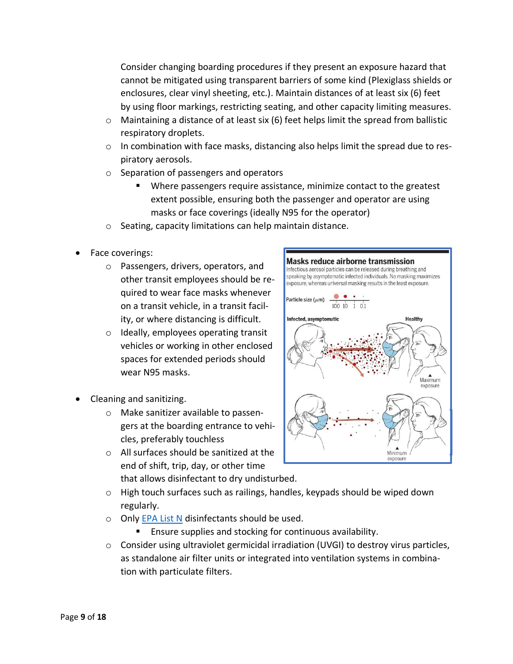Consider changing boarding procedures if they present an exposure hazard that cannot be mitigated using transparent barriers of some kind (Plexiglass shields or enclosures, clear vinyl sheeting, etc.). Maintain distances of at least six (6) feet by using floor markings, restricting seating, and other capacity limiting measures.

- o Maintaining a distance of at least six (6) feet helps limit the spread from ballistic respiratory droplets.
- $\circ$  In combination with face masks, distancing also helps limit the spread due to respiratory aerosols.
- o Separation of passengers and operators
	- Where passengers require assistance, minimize contact to the greatest extent possible, ensuring both the passenger and operator are using masks or face coverings (ideally N95 for the operator)
- o Seating, capacity limitations can help maintain distance.
- Face coverings:
	- o Passengers, drivers, operators, and other transit employees should be required to wear face masks whenever on a transit vehicle, in a transit facility, or where distancing is difficult.
	- o Ideally, employees operating transit vehicles or working in other enclosed spaces for extended periods should wear N95 masks.
- Cleaning and sanitizing.
	- o Make sanitizer available to passengers at the boarding entrance to vehicles, preferably touchless
	- o All surfaces should be sanitized at the end of shift, trip, day, or other time that allows disinfectant to dry undisturbed.



- $\circ$  High touch surfaces such as railings, handles, keypads should be wiped down regularly.
- o Only [EPA List N](https://www.epa.gov/pesticide-registration/list-n-disinfectants-use-against-sars-cov-2-covid-19) disinfectants should be used.
	- Ensure supplies and stocking for continuous availability.
- $\circ$  Consider using ultraviolet germicidal irradiation (UVGI) to destroy virus particles, as standalone air filter units or integrated into ventilation systems in combination with particulate filters.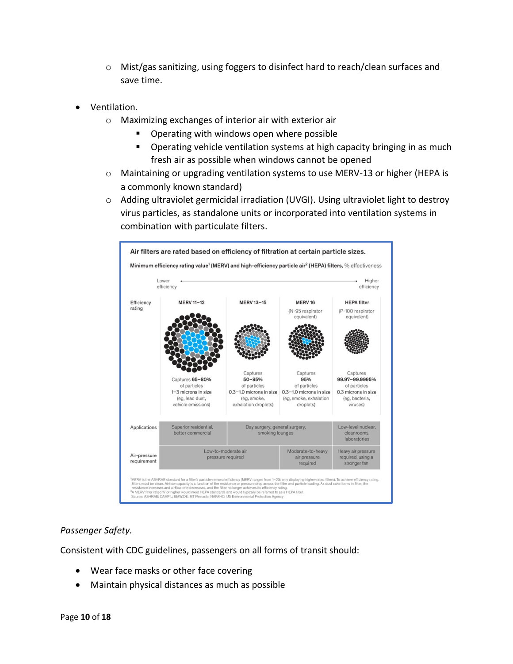- o Mist/gas sanitizing, using foggers to disinfect hard to reach/clean surfaces and save time.
- Ventilation.
	- o Maximizing exchanges of interior air with exterior air
		- Operating with windows open where possible
		- Operating vehicle ventilation systems at high capacity bringing in as much fresh air as possible when windows cannot be opened
	- o Maintaining or upgrading ventilation systems to use MERV-13 or higher (HEPA is a commonly known standard)
	- $\circ$  Adding ultraviolet germicidal irradiation (UVGI). Using ultraviolet light to destroy virus particles, as standalone units or incorporated into ventilation systems in combination with particulate filters.



#### *Passenger Safety.*

Consistent with CDC guidelines, passengers on all forms of transit should:

- Wear face masks or other face covering
- Maintain physical distances as much as possible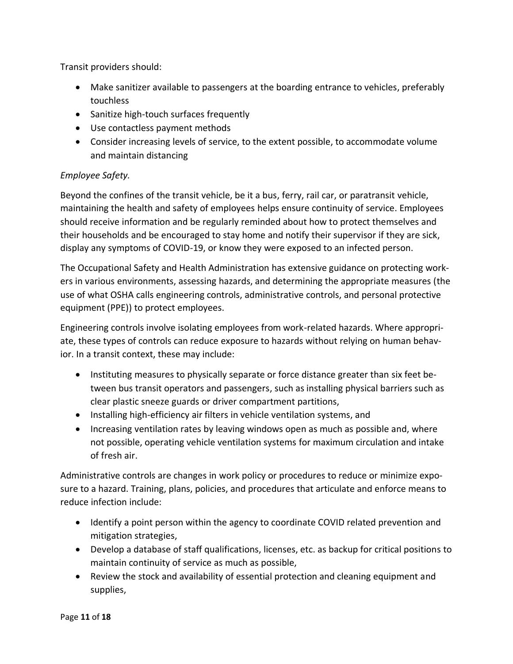Transit providers should:

- Make sanitizer available to passengers at the boarding entrance to vehicles, preferably touchless
- Sanitize high-touch surfaces frequently
- Use contactless payment methods
- Consider increasing levels of service, to the extent possible, to accommodate volume and maintain distancing

# *Employee Safety.*

Beyond the confines of the transit vehicle, be it a bus, ferry, rail car, or paratransit vehicle, maintaining the health and safety of employees helps ensure continuity of service. Employees should receive information and be regularly reminded about how to protect themselves and their households and be encouraged to stay home and notify their supervisor if they are sick, display any symptoms of COVID-19, or know they were exposed to an infected person.

The Occupational Safety and Health Administration has extensive guidance on protecting workers in various environments, assessing hazards, and determining the appropriate measures (the use of what OSHA calls engineering controls, administrative controls, and personal protective equipment (PPE)) to protect employees.

Engineering controls involve isolating employees from work-related hazards. Where appropriate, these types of controls can reduce exposure to hazards without relying on human behavior. In a transit context, these may include:

- Instituting measures to physically separate or force distance greater than six feet between bus transit operators and passengers, such as installing physical barriers such as clear plastic sneeze guards or driver compartment partitions,
- Installing high-efficiency air filters in vehicle ventilation systems, and
- Increasing ventilation rates by leaving windows open as much as possible and, where not possible, operating vehicle ventilation systems for maximum circulation and intake of fresh air.

Administrative controls are changes in work policy or procedures to reduce or minimize exposure to a hazard. Training, plans, policies, and procedures that articulate and enforce means to reduce infection include:

- Identify a point person within the agency to coordinate COVID related prevention and mitigation strategies,
- Develop a database of staff qualifications, licenses, etc. as backup for critical positions to maintain continuity of service as much as possible,
- Review the stock and availability of essential protection and cleaning equipment and supplies,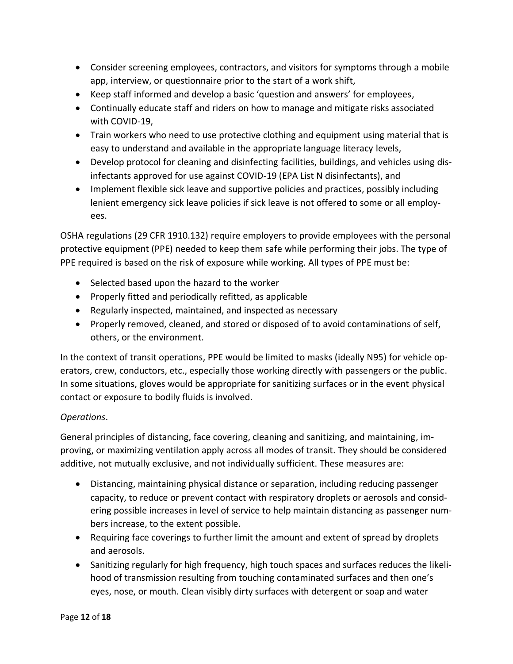- Consider screening employees, contractors, and visitors for symptoms through a mobile app, interview, or questionnaire prior to the start of a work shift,
- Keep staff informed and develop a basic 'question and answers' for employees,
- Continually educate staff and riders on how to manage and mitigate risks associated with COVID-19,
- Train workers who need to use protective clothing and equipment using material that is easy to understand and available in the appropriate language literacy levels,
- Develop protocol for cleaning and disinfecting facilities, buildings, and vehicles using disinfectants approved for use against COVID-19 (EPA List N disinfectants), and
- Implement flexible sick leave and supportive policies and practices, possibly including lenient emergency sick leave policies if sick leave is not offered to some or all employees.

OSHA regulations (29 CFR 1910.132) require employers to provide employees with the personal protective equipment (PPE) needed to keep them safe while performing their jobs. The type of PPE required is based on the risk of exposure while working. All types of PPE must be:

- Selected based upon the hazard to the worker
- Properly fitted and periodically refitted, as applicable
- Regularly inspected, maintained, and inspected as necessary
- Properly removed, cleaned, and stored or disposed of to avoid contaminations of self, others, or the environment.

In the context of transit operations, PPE would be limited to masks (ideally N95) for vehicle operators, crew, conductors, etc., especially those working directly with passengers or the public. In some situations, gloves would be appropriate for sanitizing surfaces or in the event physical contact or exposure to bodily fluids is involved.

# *Operations*.

General principles of distancing, face covering, cleaning and sanitizing, and maintaining, improving, or maximizing ventilation apply across all modes of transit. They should be considered additive, not mutually exclusive, and not individually sufficient. These measures are:

- Distancing, maintaining physical distance or separation, including reducing passenger capacity, to reduce or prevent contact with respiratory droplets or aerosols and considering possible increases in level of service to help maintain distancing as passenger numbers increase, to the extent possible.
- Requiring face coverings to further limit the amount and extent of spread by droplets and aerosols.
- Sanitizing regularly for high frequency, high touch spaces and surfaces reduces the likelihood of transmission resulting from touching contaminated surfaces and then one's eyes, nose, or mouth. Clean visibly dirty surfaces with detergent or soap and water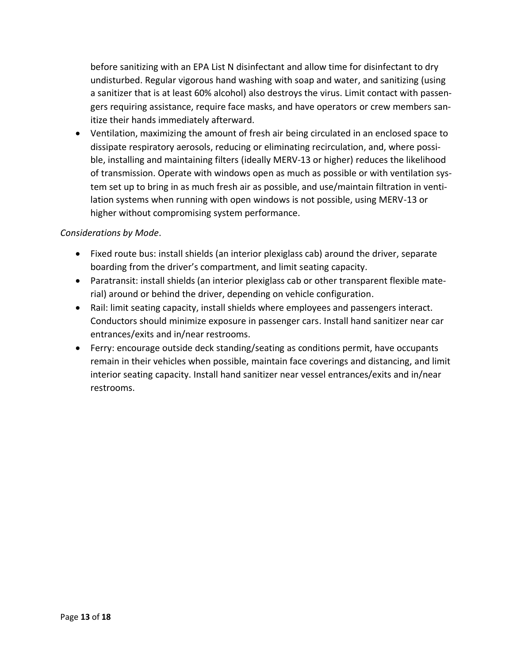before sanitizing with an EPA List N disinfectant and allow time for disinfectant to dry undisturbed. Regular vigorous hand washing with soap and water, and sanitizing (using a sanitizer that is at least 60% alcohol) also destroys the virus. Limit contact with passengers requiring assistance, require face masks, and have operators or crew members sanitize their hands immediately afterward.

• Ventilation, maximizing the amount of fresh air being circulated in an enclosed space to dissipate respiratory aerosols, reducing or eliminating recirculation, and, where possible, installing and maintaining filters (ideally MERV-13 or higher) reduces the likelihood of transmission. Operate with windows open as much as possible or with ventilation system set up to bring in as much fresh air as possible, and use/maintain filtration in ventilation systems when running with open windows is not possible, using MERV-13 or higher without compromising system performance.

# *Considerations by Mode*.

- Fixed route bus: install shields (an interior plexiglass cab) around the driver, separate boarding from the driver's compartment, and limit seating capacity.
- Paratransit: install shields (an interior plexiglass cab or other transparent flexible material) around or behind the driver, depending on vehicle configuration.
- Rail: limit seating capacity, install shields where employees and passengers interact. Conductors should minimize exposure in passenger cars. Install hand sanitizer near car entrances/exits and in/near restrooms.
- Ferry: encourage outside deck standing/seating as conditions permit, have occupants remain in their vehicles when possible, maintain face coverings and distancing, and limit interior seating capacity. Install hand sanitizer near vessel entrances/exits and in/near restrooms.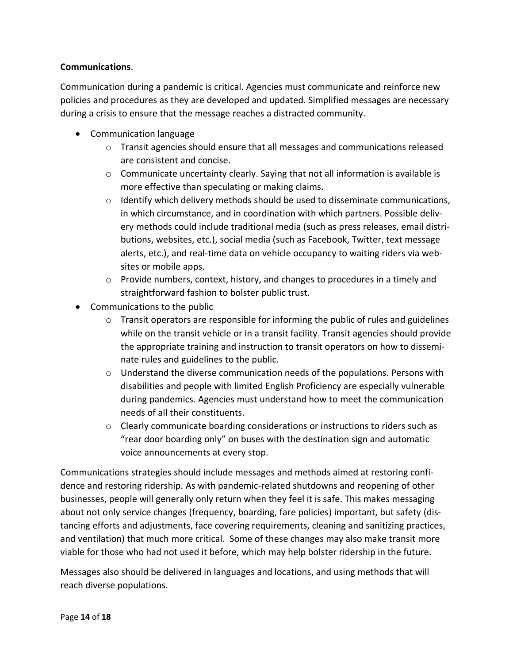### **Communications**.

Communication during a pandemic is critical. Agencies must communicate and reinforce new policies and procedures as they are developed and updated. Simplified messages are necessary during a crisis to ensure that the message reaches a distracted community.

- Communication language
	- o Transit agencies should ensure that all messages and communications released are consistent and concise.
	- $\circ$  Communicate uncertainty clearly. Saying that not all information is available is more effective than speculating or making claims.
	- $\circ$  Identify which delivery methods should be used to disseminate communications, in which circumstance, and in coordination with which partners. Possible delivery methods could include traditional media (such as press releases, email distributions, websites, etc.), social media (such as Facebook, Twitter, text message alerts, etc.), and real-time data on vehicle occupancy to waiting riders via websites or mobile apps.
	- $\circ$  Provide numbers, context, history, and changes to procedures in a timely and straightforward fashion to bolster public trust.
- Communications to the public
	- $\circ$  Transit operators are responsible for informing the public of rules and guidelines while on the transit vehicle or in a transit facility. Transit agencies should provide the appropriate training and instruction to transit operators on how to disseminate rules and guidelines to the public.
	- o Understand the diverse communication needs of the populations. Persons with disabilities and people with limited English Proficiency are especially vulnerable during pandemics. Agencies must understand how to meet the communication needs of all their constituents.
	- o Clearly communicate boarding considerations or instructions to riders such as "rear door boarding only" on buses with the destination sign and automatic voice announcements at every stop.

Communications strategies should include messages and methods aimed at restoring confidence and restoring ridership. As with pandemic-related shutdowns and reopening of other businesses, people will generally only return when they feel it is safe. This makes messaging about not only service changes (frequency, boarding, fare policies) important, but safety (distancing efforts and adjustments, face covering requirements, cleaning and sanitizing practices, and ventilation) that much more critical. Some of these changes may also make transit more viable for those who had not used it before, which may help bolster ridership in the future.

Messages also should be delivered in languages and locations, and using methods that will reach diverse populations.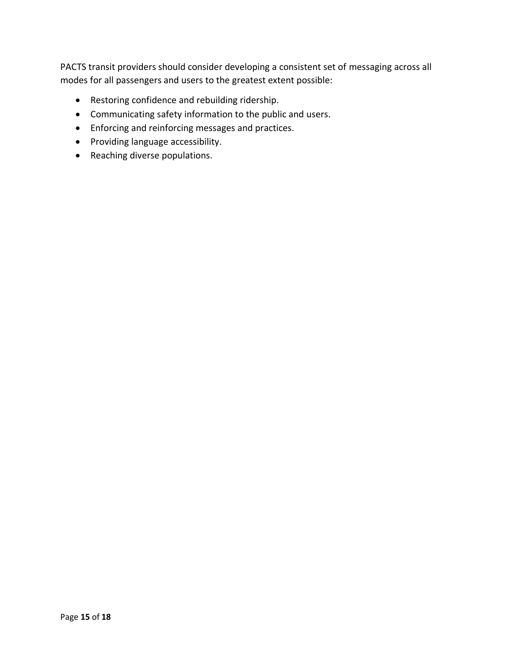PACTS transit providers should consider developing a consistent set of messaging across all modes for all passengers and users to the greatest extent possible:

- Restoring confidence and rebuilding ridership.
- Communicating safety information to the public and users.
- Enforcing and reinforcing messages and practices.
- Providing language accessibility.
- Reaching diverse populations.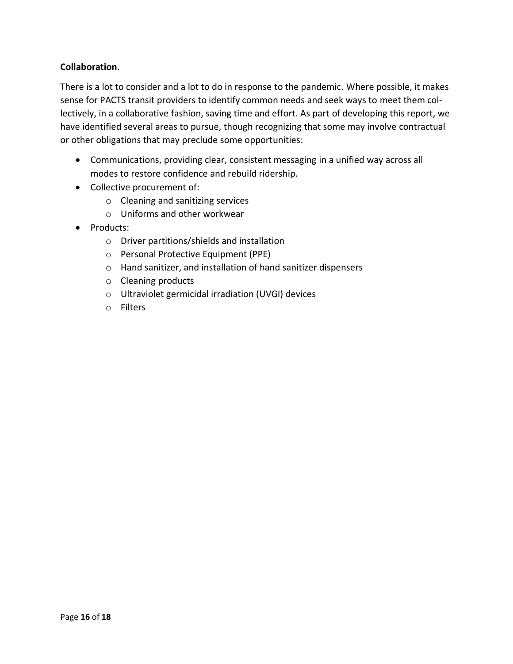### **Collaboration**.

There is a lot to consider and a lot to do in response to the pandemic. Where possible, it makes sense for PACTS transit providers to identify common needs and seek ways to meet them collectively, in a collaborative fashion, saving time and effort. As part of developing this report, we have identified several areas to pursue, though recognizing that some may involve contractual or other obligations that may preclude some opportunities:

- Communications, providing clear, consistent messaging in a unified way across all modes to restore confidence and rebuild ridership.
- Collective procurement of:
	- o Cleaning and sanitizing services
	- o Uniforms and other workwear
- Products:
	- o Driver partitions/shields and installation
	- o Personal Protective Equipment (PPE)
	- o Hand sanitizer, and installation of hand sanitizer dispensers
	- o Cleaning products
	- o Ultraviolet germicidal irradiation (UVGI) devices
	- o Filters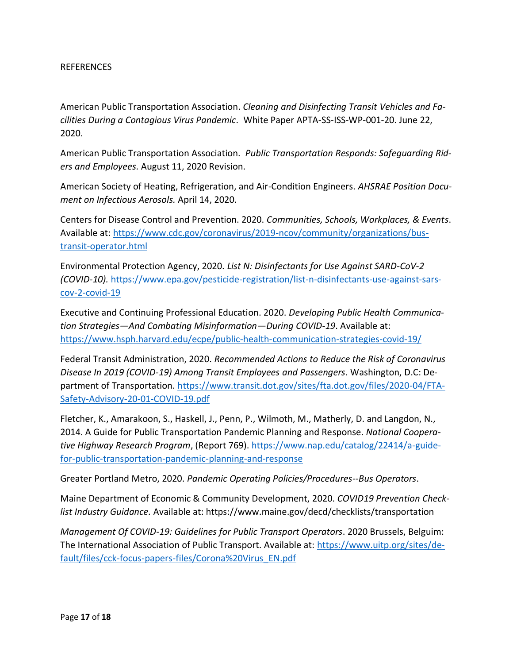#### REFERENCES

American Public Transportation Association. *Cleaning and Disinfecting Transit Vehicles and Facilities During a Contagious Virus Pandemic.* White Paper APTA-SS-ISS-WP-001-20. June 22, 2020.

American Public Transportation Association. *Public Transportation Responds: Safeguarding Riders and Employees.* August 11, 2020 Revision.

American Society of Heating, Refrigeration, and Air-Condition Engineers. *AHSRAE Position Document on Infectious Aerosols.* April 14, 2020.

Centers for Disease Control and Prevention. 2020. *Communities, Schools, Workplaces, & Events*. Available at: [https://www.cdc.gov/coronavirus/2019-ncov/community/organizations/bus](https://www.cdc.gov/coronavirus/2019-ncov/community/organizations/bus-transit-operator.html)[transit-operator.html](https://www.cdc.gov/coronavirus/2019-ncov/community/organizations/bus-transit-operator.html)

Environmental Protection Agency, 2020. *List N: Disinfectants for Use Against SARD-CoV-2 (COVID-10).* [https://www.epa.gov/pesticide-registration/list-n-disinfectants-use-against-sars](https://www.epa.gov/pesticide-registration/list-n-disinfectants-use-against-sars-cov-2-covid-19)[cov-2-covid-19](https://www.epa.gov/pesticide-registration/list-n-disinfectants-use-against-sars-cov-2-covid-19)

Executive and Continuing Professional Education. 2020. *Developing Public Health Communication Strategies—And Combating Misinformation—During COVID-19*. Available at: <https://www.hsph.harvard.edu/ecpe/public-health-communication-strategies-covid-19/>

Federal Transit Administration, 2020. *Recommended Actions to Reduce the Risk of Coronavirus Disease In 2019 (COVID-19) Among Transit Employees and Passengers*. Washington, D.C: Department of Transportation. [https://www.transit.dot.gov/sites/fta.dot.gov/files/2020-04/FTA-](https://www.transit.dot.gov/sites/fta.dot.gov/files/2020-04/FTA-Safety-Advisory-20-01-COVID-19.pdf)[Safety-Advisory-20-01-COVID-19.pdf](https://www.transit.dot.gov/sites/fta.dot.gov/files/2020-04/FTA-Safety-Advisory-20-01-COVID-19.pdf)

Fletcher, K., Amarakoon, S., Haskell, J., Penn, P., Wilmoth, M., Matherly, D. and Langdon, N., 2014. A Guide for Public Transportation Pandemic Planning and Response. *National Cooperative Highway Research Program*, (Report 769). [https://www.nap.edu/catalog/22414/a-guide](https://www.nap.edu/catalog/22414/a-guide-for-public-transportation-pandemic-planning-and-response)[for-public-transportation-pandemic-planning-and-response](https://www.nap.edu/catalog/22414/a-guide-for-public-transportation-pandemic-planning-and-response)

Greater Portland Metro, 2020. *Pandemic Operating Policies/Procedures--Bus Operators*.

Maine Department of Economic & Community Development, 2020. *COVID19 Prevention Checklist Industry Guidance.* Available at: https://www.maine.gov/decd/checklists/transportation

*Management Of COVID-19: Guidelines for Public Transport Operators*. 2020 Brussels, Belguim: The International Association of Public Transport. Available at: [https://www.uitp.org/sites/de](https://www.uitp.org/sites/default/files/cck-focus-papers-files/Corona%20Virus_EN.pdf)[fault/files/cck-focus-papers-files/Corona%20Virus\\_EN.pdf](https://www.uitp.org/sites/default/files/cck-focus-papers-files/Corona%20Virus_EN.pdf)